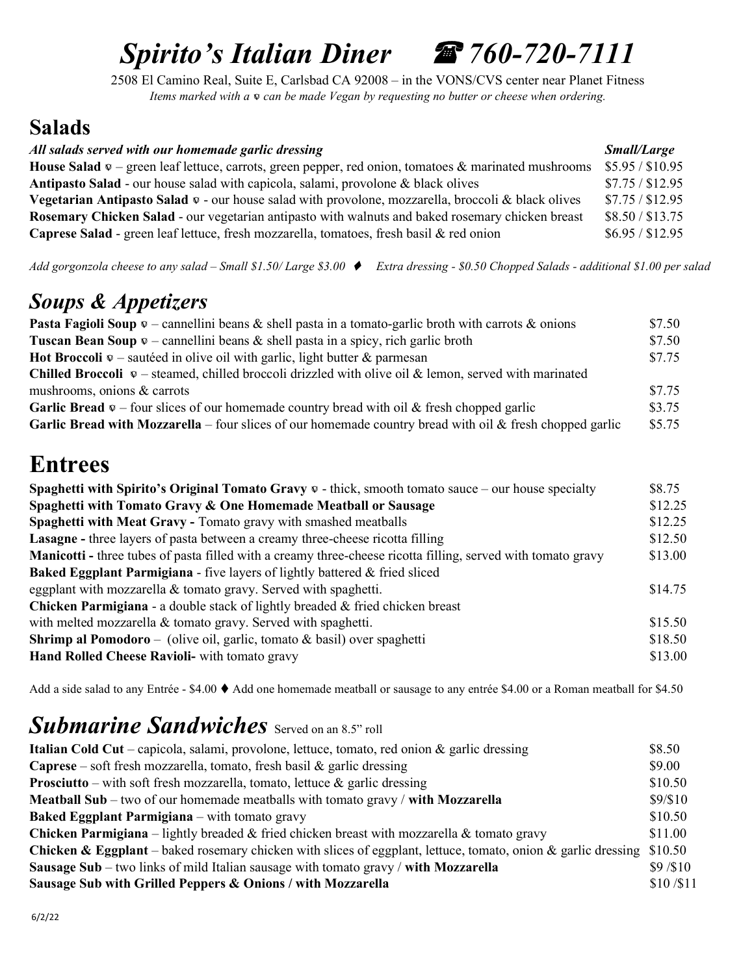# Spirito's Italian Diner  $\mathscr{F}$  760-720-7111

2508 El Camino Real, Suite E, Carlsbad CA 92008 – in the VONS/CVS center near Planet Fitness Items marked with a  $\infty$  can be made Vegan by requesting no butter or cheese when ordering.

### Salads

| All salads served with our homemade garlic dressing                                                                             | <i>Small/Large</i> |
|---------------------------------------------------------------------------------------------------------------------------------|--------------------|
| <b>House Salad</b> $\infty$ – green leaf lettuce, carrots, green pepper, red onion, tomatoes & marinated mushrooms              | \$5.95 / \$10.95   |
| <b>Antipasto Salad</b> - our house salad with capicola, salami, provolone & black olives                                        | \$7.75 / \$12.95   |
| <b>Vegetarian Antipasto Salad <math>\infty</math> - our house salad with provolone, mozzarella, broccoli &amp; black olives</b> | \$7.75 / \$12.95   |
| <b>Rosemary Chicken Salad - our vegetarian antipasto with walnuts and baked rosemary chicken breast</b>                         | \$8.50 / \$13.75   |
| Caprese Salad - green leaf lettuce, fresh mozzarella, tomatoes, fresh basil & red onion                                         | \$6.95 / \$12.95   |

Add gorgonzola cheese to any salad - Small \$1.50/Large \$3.00  $\blacklozenge$  Extra dressing - \$0.50 Chopped Salads - additional \$1.00 per salad

### Soups & Appetizers

| <b>Pasta Fagioli Soup</b> $\infty$ – cannellini beans & shell pasta in a tomato-garlic broth with carrots & onions  | \$7.50 |
|---------------------------------------------------------------------------------------------------------------------|--------|
| <b>Tuscan Bean Soup <math>\infty</math> – cannellini beans &amp; shell pasta in a spicy, rich garlic broth</b>      | \$7.50 |
| <b>Hot Broccoli</b> $\infty$ – sautéed in olive oil with garlic, light butter & parmesan                            | \$7.75 |
| <b>Chilled Broccoli</b> $\infty$ – steamed, chilled broccoli drizzled with olive oil & lemon, served with marinated |        |
| mushrooms, onions & carrots                                                                                         | \$7.75 |
| <b>Garlic Bread</b> $\infty$ – four slices of our homemade country bread with oil & fresh chopped garlic            | \$3.75 |
| <b>Garlic Bread with Mozzarella</b> – four slices of our homemade country bread with oil & fresh chopped garlic     | \$5.75 |

# Entrees

| Spaghetti with Spirito's Original Tomato Gravy $\mathcal{Q}$ - thick, smooth tomato sauce – our house specialty     | \$8.75  |
|---------------------------------------------------------------------------------------------------------------------|---------|
| Spaghetti with Tomato Gravy & One Homemade Meatball or Sausage                                                      | \$12.25 |
| Spaghetti with Meat Gravy - Tomato gravy with smashed meatballs                                                     | \$12.25 |
| <b>Lasagne</b> - three layers of pasta between a creamy three-cheese ricotta filling                                | \$12.50 |
| <b>Manicotti</b> - three tubes of pasta filled with a creamy three-cheese ricotta filling, served with tomato gravy | \$13.00 |
| <b>Baked Eggplant Parmigiana</b> - five layers of lightly battered & fried sliced                                   |         |
| eggplant with mozzarella $\&$ tomato gravy. Served with spaghetti.                                                  | \$14.75 |
| <b>Chicken Parmigiana</b> - a double stack of lightly breaded & fried chicken breast                                |         |
| with melted mozzarella & tomato gravy. Served with spaghetti.                                                       | \$15.50 |
| <b>Shrimp al Pomodoro</b> – (olive oil, garlic, tomato $\&$ basil) over spaghetti                                   | \$18.50 |
| Hand Rolled Cheese Ravioli- with tomato gravy                                                                       | \$13.00 |

Add a side salad to any Entrée - \$4.00  $\blacklozenge$  Add one homemade meatball or sausage to any entrée \$4.00 or a Roman meatball for \$4.50

### Submarine Sandwiches Served on an 8.5" roll

| Italian Cold Cut – capicola, salami, provolone, lettuce, tomato, red onion $\&$ garlic dressing                                  | \$8.50    |
|----------------------------------------------------------------------------------------------------------------------------------|-----------|
| <b>Caprese</b> – soft fresh mozzarella, tomato, fresh basil & garlic dressing                                                    | \$9.00    |
| <b>Prosciutto</b> – with soft fresh mozzarella, tomato, lettuce $\&$ garlic dressing                                             | \$10.50   |
| <b>Meatball Sub</b> – two of our homemade meatballs with tomato gravy $/$ with Mozzarella                                        | \$9/\$10  |
| <b>Baked Eggplant Parmigiana</b> – with tomato gravy                                                                             | \$10.50   |
| <b>Chicken Parmigiana</b> – lightly breaded & fried chicken breast with mozzarella & tomato gravy                                | \$11.00   |
| <b>Chicken &amp; Eggplant</b> – baked rosemary chicken with slices of eggplant, lettuce, tomato, onion & garlic dressing \$10.50 |           |
| Sausage Sub – two links of mild Italian sausage with tomato gravy / with Mozzarella                                              | \$9/\$10  |
| Sausage Sub with Grilled Peppers & Onions / with Mozzarella                                                                      | \$10/\$11 |